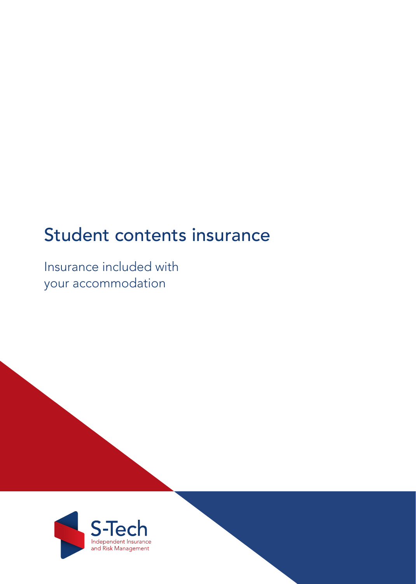# Student contents insurance

Insurance included with your accommodation

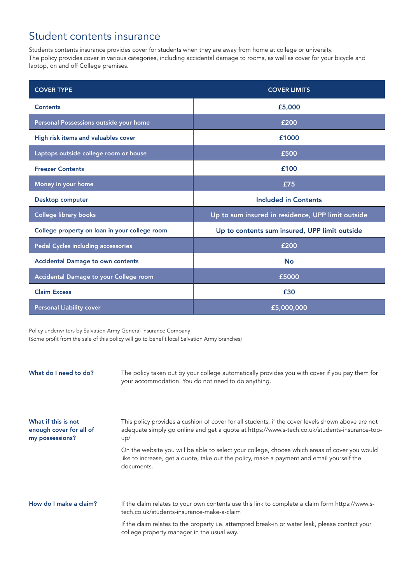## Student contents insurance

Students contents insurance provides cover for students when they are away from home at college or university. The policy provides cover in various categories, including accidental damage to rooms, as well as cover for your bicycle and laptop, on and off College premises.

| <b>COVER TYPE</b>                             | <b>COVER LIMITS</b>                               |
|-----------------------------------------------|---------------------------------------------------|
| <b>Contents</b>                               | £5,000                                            |
| Personal Possessions outside your home        | £200                                              |
| High risk items and valuables cover           | £1000                                             |
| Laptops outside college room or house         | £500                                              |
| <b>Freezer Contents</b>                       | £100                                              |
| Money in your home                            | £75                                               |
| Desktop computer                              | <b>Included in Contents</b>                       |
| <b>College library books</b>                  | Up to sum insured in residence, UPP limit outside |
| College property on loan in your college room | Up to contents sum insured, UPP limit outside     |
| <b>Pedal Cycles including accessories</b>     | £200                                              |
| <b>Accidental Damage to own contents</b>      | <b>No</b>                                         |
| Accidental Damage to your College room        | £5000                                             |
| <b>Claim Excess</b>                           | £30                                               |
| <b>Personal Liability cover</b>               | £5,000,000                                        |

Policy underwriters by Salvation Army General Insurance Company (Some profit from the sale of this policy will go to benefit local Salvation Army branches)

| What do I need to do?                                             | The policy taken out by your college automatically provides you with cover if you pay them for<br>your accommodation. You do not need to do anything.                                                     |
|-------------------------------------------------------------------|-----------------------------------------------------------------------------------------------------------------------------------------------------------------------------------------------------------|
| What if this is not<br>enough cover for all of<br>my possessions? | This policy provides a cushion of cover for all students, if the cover levels shown above are not<br>adequate simply go online and get a quote at https://www.s-tech.co.uk/students-insurance-top-<br>up/ |
|                                                                   | On the website you will be able to select your college, choose which areas of cover you would<br>like to increase, get a quote, take out the policy, make a payment and email yourself the<br>documents.  |
| How do I make a claim?                                            | If the claim relates to your own contents use this link to complete a claim form https://www.s-                                                                                                           |
|                                                                   | tech.co.uk/students-insurance-make-a-claim                                                                                                                                                                |
|                                                                   | If the claim relates to the property i.e. attempted break-in or water leak, please contact your<br>college property manager in the usual way.                                                             |